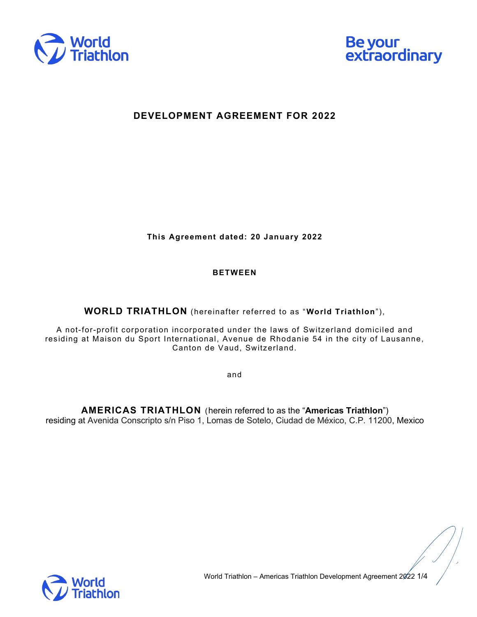



## **DEVELOPMENT AGREEMENT FOR 2022**

**This Agreement dated: 20 January 2022**

## **BETWEEN**

**WORLD TRIATHLON** (hereinafter referred to as "World Triathlon"),

A not-for-profit corporation incorporated under the laws of Switzerland domiciled and residing at Maison du Sport International, Avenue de Rhodanie 54 in the city of Lausanne, Canton de Vaud, Switzerland.

and

**AMERICAS TRIATHLON** (herein referred to as the "Americas Triathlon") residing at Avenida Conscripto s/n Piso 1, Lomas de Sotelo, Ciudad de México, C.P. 11200, Mexico

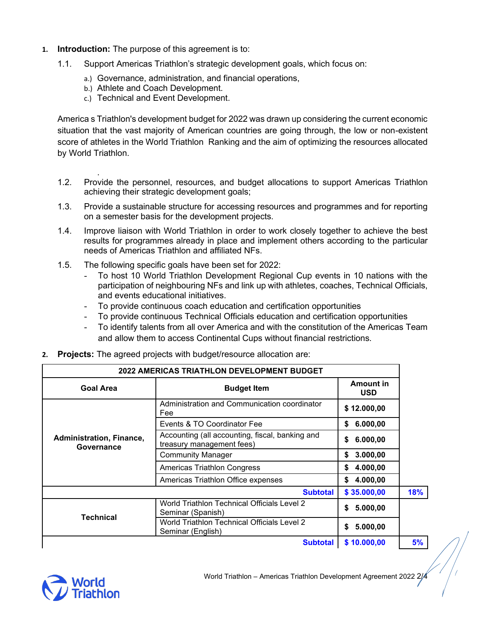- **1. Introduction:** The purpose of this agreement is to:
	- 1.1. Support Americas Triathlon's strategic development goals, which focus on:
		- a.) Governance, administration, and financial operations,
		- b.) Athlete and Coach Development.
		- c.) Technical and Event Development.

America s Triathlon's development budget for 2022 was drawn up considering the current economic situation that the vast majority of American countries are going through, the low or non-existent score of athletes in the World Triathlon Ranking and the aim of optimizing the resources allocated by World Triathlon.

- . 1.2. Provide the personnel, resources, and budget allocations to support Americas Triathlon achieving their strategic development goals;
- 1.3. Provide a sustainable structure for accessing resources and programmes and for reporting on a semester basis for the development projects.
- 1.4. Improve liaison with World Triathlon in order to work closely together to achieve the best results for programmes already in place and implement others according to the particular needs of Americas Triathlon and affiliated NFs.
- 1.5. The following specific goals have been set for 2022:
	- To host 10 World Triathlon Development Regional Cup events in 10 nations with the participation of neighbouring NFs and link up with athletes, coaches, Technical Officials, and events educational initiatives.
	- To provide continuous coach education and certification opportunities
	- To provide continuous Technical Officials education and certification opportunities
	- To identify talents from all over America and with the constitution of the Americas Team and allow them to access Continental Cups without financial restrictions.

| <b>2022 AMERICAS TRIATHLON DEVELOPMENT BUDGET</b> |                                                                              |                                |     |
|---------------------------------------------------|------------------------------------------------------------------------------|--------------------------------|-----|
| <b>Goal Area</b>                                  | <b>Budget Item</b>                                                           | <b>Amount in</b><br><b>USD</b> |     |
| Administration, Finance,<br>Governance            | Administration and Communication coordinator<br>Fee                          | \$12.000,00                    |     |
|                                                   | Events & TO Coordinator Fee                                                  | \$<br>6.000,00                 |     |
|                                                   | Accounting (all accounting, fiscal, banking and<br>treasury management fees) | 6.000,00<br>\$                 |     |
|                                                   | <b>Community Manager</b>                                                     | 3.000,00<br>\$                 |     |
|                                                   | Americas Triathlon Congress                                                  | 4.000,00<br>\$                 |     |
|                                                   | Americas Triathlon Office expenses                                           | 4.000,00<br>\$                 |     |
|                                                   | <b>Subtotal</b>                                                              | \$35.000,00                    | 18% |
| <b>Technical</b>                                  | World Triathlon Technical Officials Level 2<br>Seminar (Spanish)             | 5.000,00<br>\$                 |     |
|                                                   | World Triathlon Technical Officials Level 2<br>Seminar (English)             | \$<br>5.000,00                 |     |
|                                                   | <b>Subtotal</b>                                                              | \$10.000,00                    | 5%  |

**2. Projects:** The agreed projects with budget/resource allocation are:

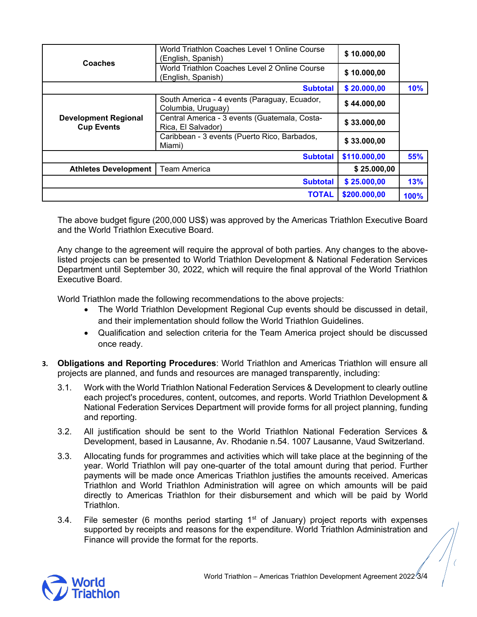| Coaches                                          | World Triathlon Coaches Level 1 Online Course<br>(English, Spanish) | \$10.000,00  |             |
|--------------------------------------------------|---------------------------------------------------------------------|--------------|-------------|
|                                                  | World Triathlon Coaches Level 2 Online Course<br>(English, Spanish) | \$10.000,00  |             |
|                                                  | <b>Subtotal</b>                                                     | \$20.000,00  | 10%         |
| <b>Development Regional</b><br><b>Cup Events</b> | South America - 4 events (Paraguay, Ecuador,<br>Columbia, Uruguay)  | \$44.000.00  |             |
|                                                  | Central America - 3 events (Guatemala, Costa-<br>Rica, El Salvador) | \$33.000,00  |             |
|                                                  | Caribbean - 3 events (Puerto Rico, Barbados,<br>Miami)              | \$33.000,00  |             |
| <b>Subtotal</b>                                  |                                                                     | \$110.000,00 | 55%         |
| <b>Athletes Development</b>                      | <b>Team America</b>                                                 | \$25.000,00  |             |
|                                                  | <b>Subtotal</b>                                                     | \$25.000,00  | 13%         |
|                                                  | <b>TOTAL</b>                                                        | \$200.000,00 | <b>100%</b> |

The above budget figure (200,000 US\$) was approved by the Americas Triathlon Executive Board and the World Triathlon Executive Board.

Any change to the agreement will require the approval of both parties. Any changes to the abovelisted projects can be presented to World Triathlon Development & National Federation Services Department until September 30, 2022, which will require the final approval of the World Triathlon Executive Board.

World Triathlon made the following recommendations to the above projects:

- The World Triathlon Development Regional Cup events should be discussed in detail, and their implementation should follow the World Triathlon Guidelines.
- Qualification and selection criteria for the Team America project should be discussed once ready.
- **3. Obligations and Reporting Procedures**: World Triathlon and Americas Triathlon will ensure all projects are planned, and funds and resources are managed transparently, including:
	- 3.1. Work with the World Triathlon National Federation Services & Development to clearly outline each project's procedures, content, outcomes, and reports. World Triathlon Development & National Federation Services Department will provide forms for all project planning, funding and reporting.
	- 3.2. All justification should be sent to the World Triathlon National Federation Services & Development, based in Lausanne, Av. Rhodanie n.54. 1007 Lausanne, Vaud Switzerland.
	- 3.3. Allocating funds for programmes and activities which will take place at the beginning of the year. World Triathlon will pay one-quarter of the total amount during that period. Further payments will be made once Americas Triathlon justifies the amounts received. Americas Triathlon and World Triathlon Administration will agree on which amounts will be paid directly to Americas Triathlon for their disbursement and which will be paid by World Triathlon.
	- 3.4. File semester (6 months period starting  $1<sup>st</sup>$  of January) project reports with expenses supported by receipts and reasons for the expenditure. World Triathlon Administration and Finance will provide the format for the reports.<br>
	Supported by receipts and reasons for the expenditure. World Triathlon Administration and<br>
	Finance will provide the format for the reports.<br>
	World Triathlon – Americas Tri